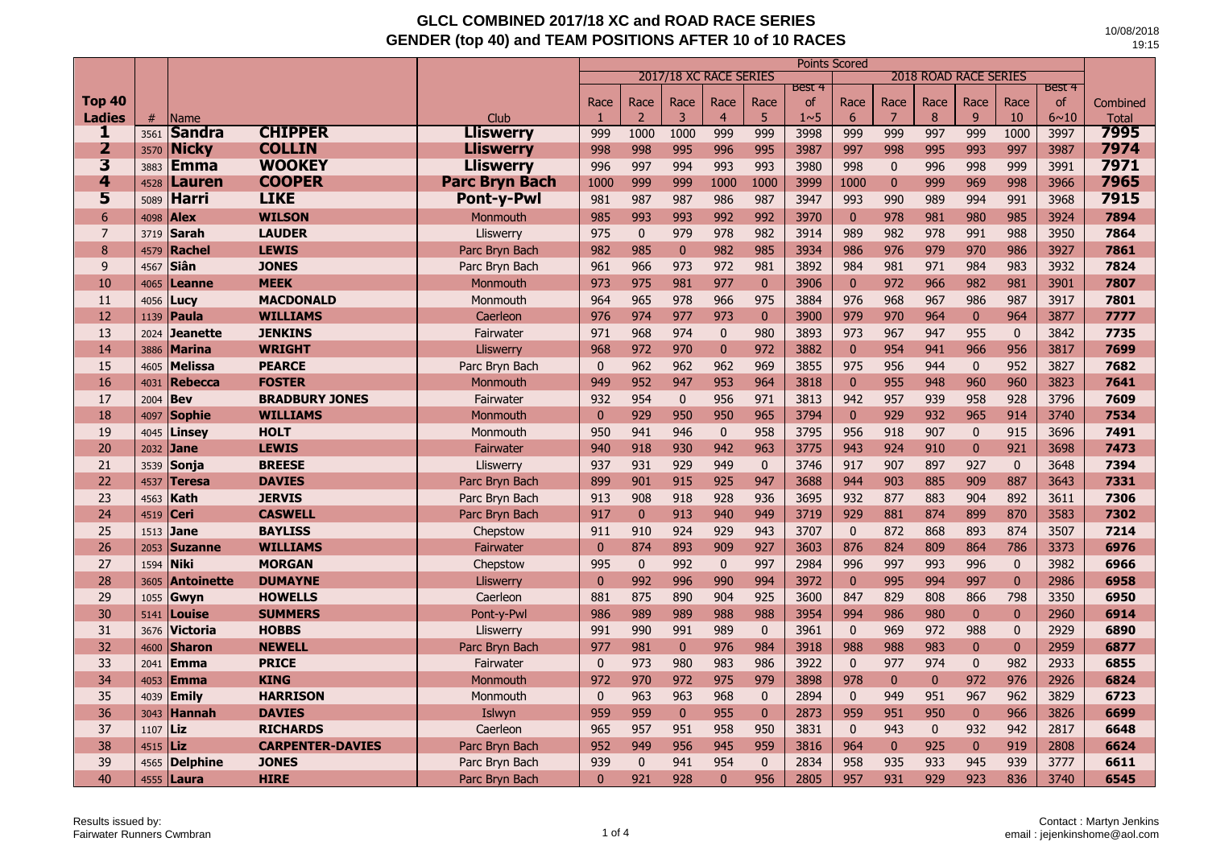|                         |      |                   |                         |                       | Points Scored<br>2017/18 XC RACE SERIES<br><b>2018 ROAD RACE SERIES</b> |                |              |                |                |                  |              |                |              |              |              |               |              |
|-------------------------|------|-------------------|-------------------------|-----------------------|-------------------------------------------------------------------------|----------------|--------------|----------------|----------------|------------------|--------------|----------------|--------------|--------------|--------------|---------------|--------------|
|                         |      |                   |                         |                       |                                                                         |                |              |                |                | <b>Best 4</b>    |              |                |              |              |              | <b>Best 4</b> |              |
| <b>Top 40</b>           |      |                   |                         |                       | Race                                                                    | Race           | Race         | Race           | Race           | of               | Race         | Race           | Race         | Race         | Race         | <b>of</b>     | Combined     |
| <b>Ladies</b>           | #    | Name              |                         | Club                  | -1                                                                      | $\overline{2}$ | 3            | $\overline{4}$ | 5              | 1 <sub>0</sub> 5 | 6            | $\overline{7}$ | 8            | 9            | 10           | $6 - 10$      | <b>Total</b> |
| ı                       | 3561 | <b>Sandra</b>     | <b>CHIPPER</b>          | <b>Lliswerry</b>      | 999                                                                     | 1000           | 1000         | 999            | 999            | 3998             | 999          | 999            | 997          | 999          | 1000         | 3997          | 7995         |
| 2                       | 3570 | <b>Nicky</b>      | <b>COLLIN</b>           | <b>Lliswerry</b>      | 998                                                                     | 998            | 995          | 996            | 995            | 3987             | 997          | 998            | 995          | 993          | 997          | 3987          | 7974         |
| $\overline{\mathbf{3}}$ | 3883 | Emma              | <b>WOOKEY</b>           | <b>Lliswerry</b>      | 996                                                                     | 997            | 994          | 993            | 993            | 3980             | 998          | $\mathbf{0}$   | 996          | 998          | 999          | 3991          | 7971         |
| 4                       | 4528 | Lauren            | <b>COOPER</b>           | <b>Parc Bryn Bach</b> | 1000                                                                    | 999            | 999          | 1000           | 1000           | 3999             | 1000         | $\mathbf{0}$   | 999          | 969          | 998          | 3966          | 7965         |
| 5                       | 5089 | <b>Harri</b>      | <b>LIKE</b>             | <b>Pont-y-Pwl</b>     | 981                                                                     | 987            | 987          | 986            | 987            | 3947             | 993          | 990            | 989          | 994          | 991          | 3968          | 7915         |
| $6\phantom{1}6$         | 4098 | <b>Alex</b>       | <b>WILSON</b>           | <b>Monmouth</b>       | 985                                                                     | 993            | 993          | 992            | 992            | 3970             | $\mathbf{0}$ | 978            | 981          | 980          | 985          | 3924          | 7894         |
| $\overline{7}$          | 3719 | <b>Sarah</b>      | <b>LAUDER</b>           | Lliswerry             | 975                                                                     | $\mathbf{0}$   | 979          | 978            | 982            | 3914             | 989          | 982            | 978          | 991          | 988          | 3950          | 7864         |
| 8                       | 4579 | Rachel            | <b>LEWIS</b>            | Parc Bryn Bach        | 982                                                                     | 985            | $\mathbf{0}$ | 982            | 985            | 3934             | 986          | 976            | 979          | 970          | 986          | 3927          | 7861         |
| 9                       | 4567 | Siân              | <b>JONES</b>            | Parc Bryn Bach        | 961                                                                     | 966            | 973          | 972            | 981            | 3892             | 984          | 981            | 971          | 984          | 983          | 3932          | 7824         |
| 10                      | 4065 | Leanne            | <b>MEEK</b>             | Monmouth              | 973                                                                     | 975            | 981          | 977            | $\mathbf{0}$   | 3906             | $\mathbf{0}$ | 972            | 966          | 982          | 981          | 3901          | 7807         |
| 11                      | 4056 | Lucy              | <b>MACDONALD</b>        | Monmouth              | 964                                                                     | 965            | 978          | 966            | 975            | 3884             | 976          | 968            | 967          | 986          | 987          | 3917          | 7801         |
| 12                      | 1139 | Paula             | <b>WILLIAMS</b>         | Caerleon              | 976                                                                     | 974            | 977          | 973            | $\mathbf{0}$   | 3900             | 979          | 970            | 964          | $\mathbf{0}$ | 964          | 3877          | 7777         |
| 13                      | 2024 | <b>Jeanette</b>   | <b>JENKINS</b>          | Fairwater             | 971                                                                     | 968            | 974          | $\mathbf{0}$   | 980            | 3893             | 973          | 967            | 947          | 955          | $\mathbf{0}$ | 3842          | 7735         |
| 14                      | 3886 | <b>Marina</b>     | <b>WRIGHT</b>           | Lliswerry             | 968                                                                     | 972            | 970          | $\mathbf{0}$   | 972            | 3882             | $\mathbf{0}$ | 954            | 941          | 966          | 956          | 3817          | 7699         |
| 15                      | 4605 | <b>Melissa</b>    | <b>PEARCE</b>           | Parc Bryn Bach        | $\mathbf{0}$                                                            | 962            | 962          | 962            | 969            | 3855             | 975          | 956            | 944          | $\mathbf{0}$ | 952          | 3827          | 7682         |
| 16                      | 4031 | <b>Rebecca</b>    | <b>FOSTER</b>           | Monmouth              | 949                                                                     | 952            | 947          | 953            | 964            | 3818             | $\mathbf{0}$ | 955            | 948          | 960          | 960          | 3823          | 7641         |
| 17                      | 2004 | <b>Bev</b>        | <b>BRADBURY JONES</b>   | Fairwater             | 932                                                                     | 954            | $\mathbf{0}$ | 956            | 971            | 3813             | 942          | 957            | 939          | 958          | 928          | 3796          | 7609         |
| 18                      | 4097 | <b>Sophie</b>     | <b>WILLIAMS</b>         | Monmouth              | $\mathbf{0}$                                                            | 929            | 950          | 950            | 965            | 3794             | $\mathbf{0}$ | 929            | 932          | 965          | 914          | 3740          | 7534         |
| 19                      | 4045 | Linsey            | <b>HOLT</b>             | Monmouth              | 950                                                                     | 941            | 946          | $\mathbf{0}$   | 958            | 3795             | 956          | 918            | 907          | $\mathbf{0}$ | 915          | 3696          | 7491         |
| 20                      | 2032 | <b>Jane</b>       | <b>LEWIS</b>            | Fairwater             | 940                                                                     | 918            | 930          | 942            | 963            | 3775             | 943          | 924            | 910          | $\mathbf{0}$ | 921          | 3698          | 7473         |
| 21                      | 3539 | Sonja             | <b>BREESE</b>           | Lliswerry             | 937                                                                     | 931            | 929          | 949            | $\mathbf{0}$   | 3746             | 917          | 907            | 897          | 927          | $\mathbf{0}$ | 3648          | 7394         |
| 22                      | 4537 | <b>Teresa</b>     | <b>DAVIES</b>           | Parc Bryn Bach        | 899                                                                     | 901            | 915          | 925            | 947            | 3688             | 944          | 903            | 885          | 909          | 887          | 3643          | 7331         |
| 23                      | 4563 | Kath              | <b>JERVIS</b>           | Parc Bryn Bach        | 913                                                                     | 908            | 918          | 928            | 936            | 3695             | 932          | 877            | 883          | 904          | 892          | 3611          | 7306         |
| 24                      | 4519 | Ceri              | <b>CASWELL</b>          | Parc Bryn Bach        | 917                                                                     | $\mathbf{0}$   | 913          | 940            | 949            | 3719             | 929          | 881            | 874          | 899          | 870          | 3583          | 7302         |
| 25                      | 1513 | <b>Jane</b>       | <b>BAYLISS</b>          | Chepstow              | 911                                                                     | 910            | 924          | 929            | 943            | 3707             | $\mathbf{0}$ | 872            | 868          | 893          | 874          | 3507          | 7214         |
| 26                      | 2053 | <b>Suzanne</b>    | <b>WILLIAMS</b>         | Fairwater             | $\mathbf{0}$                                                            | 874            | 893          | 909            | 927            | 3603             | 876          | 824            | 809          | 864          | 786          | 3373          | 6976         |
| 27                      | 1594 | <b>Niki</b>       | <b>MORGAN</b>           | Chepstow              | 995                                                                     | $\mathbf{0}$   | 992          | $\mathbf{0}$   | 997            | 2984             | 996          | 997            | 993          | 996          | $\mathbf{0}$ | 3982          | 6966         |
| 28                      | 3605 | <b>Antoinette</b> | <b>DUMAYNE</b>          | Lliswerry             | $\Omega$                                                                | 992            | 996          | 990            | 994            | 3972             | $\mathbf{0}$ | 995            | 994          | 997          | $\mathbf{0}$ | 2986          | 6958         |
| 29                      | 1055 | Gwyn              | <b>HOWELLS</b>          | Caerleon              | 881                                                                     | 875            | 890          | 904            | 925            | 3600             | 847          | 829            | 808          | 866          | 798          | 3350          | 6950         |
| 30                      | 5141 | <b>Louise</b>     | <b>SUMMERS</b>          | Pont-y-Pwl            | 986                                                                     | 989            | 989          | 988            | 988            | 3954             | 994          | 986            | 980          | $\mathbf{0}$ | $\mathbf{0}$ | 2960          | 6914         |
| 31                      | 3676 | <b>Victoria</b>   | <b>HOBBS</b>            | Lliswerry             | 991                                                                     | 990            | 991          | 989            | $\mathbf{0}$   | 3961             | $\mathbf{0}$ | 969            | 972          | 988          | $\mathbf{0}$ | 2929          | 6890         |
| 32                      | 4600 | <b>Sharon</b>     | <b>NEWELL</b>           | Parc Bryn Bach        | 977                                                                     | 981            | $\mathbf{0}$ | 976            | 984            | 3918             | 988          | 988            | 983          | $\mathbf{0}$ | $\mathbf{0}$ | 2959          | 6877         |
| 33                      | 2041 | <b>Emma</b>       | <b>PRICE</b>            | Fairwater             | $\mathbf{0}$                                                            | 973            | 980          | 983            | 986            | 3922             | $\mathbf{0}$ | 977            | 974          | $\mathbf{0}$ | 982          | 2933          | 6855         |
| 34                      | 4053 | Emma              | <b>KING</b>             | Monmouth              | 972                                                                     | 970            | 972          | 975            | 979            | 3898             | 978          | $\mathbf{0}$   | $\mathbf{0}$ | 972          | 976          | 2926          | 6824         |
| 35                      | 4039 | <b>Emily</b>      | <b>HARRISON</b>         | Monmouth              | $\mathbf{0}$                                                            | 963            | 963          | 968            | $\mathbf{0}$   | 2894             | $\Omega$     | 949            | 951          | 967          | 962          | 3829          | 6723         |
| 36                      | 3043 | <b>Hannah</b>     | <b>DAVIES</b>           | Islwyn                | 959                                                                     | 959            | $\mathbf{0}$ | 955            | $\overline{0}$ | 2873             | 959          | 951            | 950          | $\mathbf{0}$ | 966          | 3826          | 6699         |
| 37                      | 1107 | Liz               | <b>RICHARDS</b>         | Caerleon              | 965                                                                     | 957            | 951          | 958            | 950            | 3831             | $\pmb{0}$    | 943            | $\mathbf 0$  | 932          | 942          | 2817          | 6648         |
| 38                      | 4515 | Liz               | <b>CARPENTER-DAVIES</b> | Parc Bryn Bach        | 952                                                                     | 949            | 956          | 945            | 959            | 3816             | 964          | $\mathbf{0}$   | 925          | $\mathbf{0}$ | 919          | 2808          | 6624         |
| 39                      | 4565 | <b>Delphine</b>   | <b>JONES</b>            | Parc Bryn Bach        | 939                                                                     | $\mathbf{0}$   | 941          | 954            | $\mathbf{0}$   | 2834             | 958          | 935            | 933          | 945          | 939          | 3777          | 6611         |
| 40                      | 4555 | Laura             | <b>HIRE</b>             | Parc Bryn Bach        | $\Omega$                                                                | 921            | 928          | $\mathbf{0}$   | 956            | 2805             | 957          | 931            | 929          | 923          | 836          | 3740          | 6545         |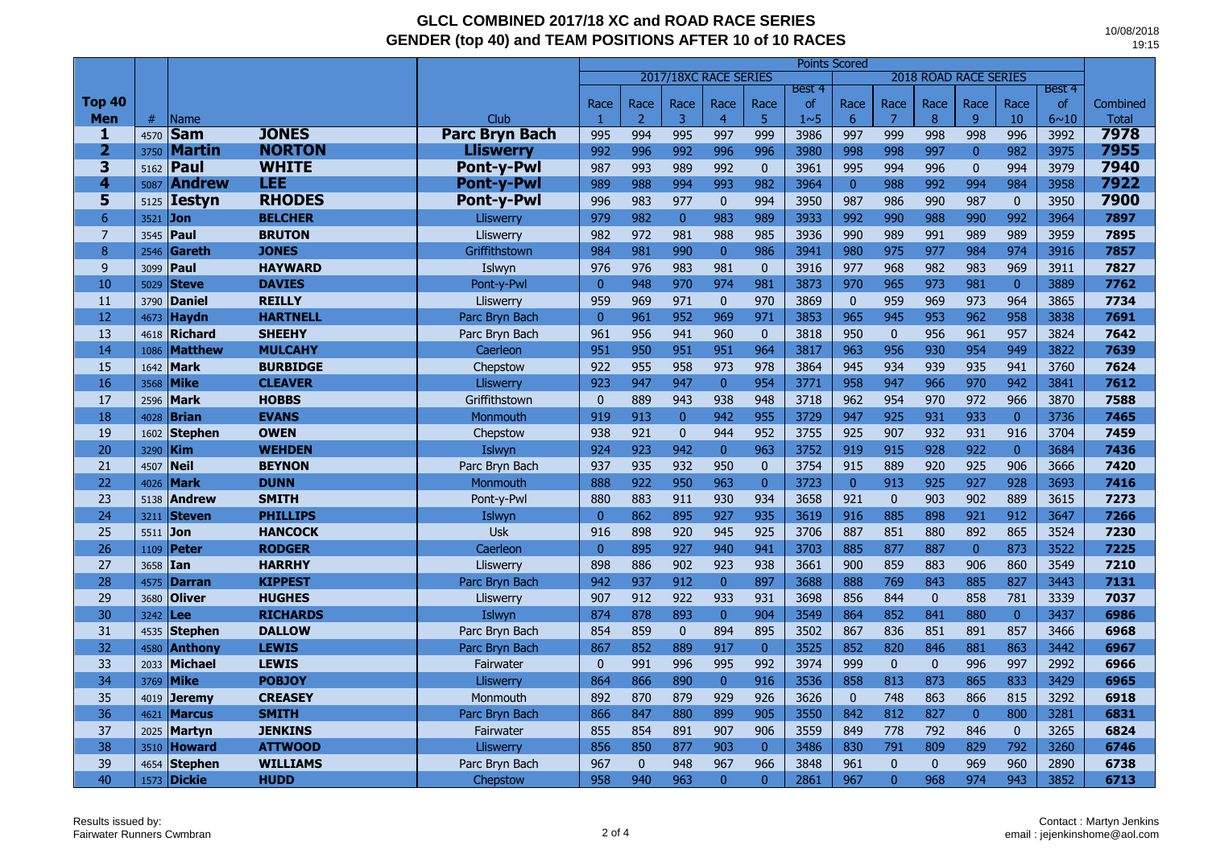|                         |      |                |                 |                       | <b>Points Scored</b><br>2017/18XC RACE SERIES<br><b>2018 ROAD RACE SERIES</b> |                |              |                |                |                  |                |              |              |                |                |          |              |
|-------------------------|------|----------------|-----------------|-----------------------|-------------------------------------------------------------------------------|----------------|--------------|----------------|----------------|------------------|----------------|--------------|--------------|----------------|----------------|----------|--------------|
|                         |      |                |                 |                       |                                                                               |                |              |                |                | Best 4           |                |              |              |                |                | Best 4   |              |
| <b>Top 40</b>           |      |                |                 |                       | Race                                                                          | Race           | Race         | Race           | Race           | <sub>of</sub>    | Race           | Race         | Race         | Race           | Race           | of       | Combined     |
| <b>Men</b>              | #    | <b>Name</b>    |                 | <b>Club</b>           | -1                                                                            | $\overline{2}$ | 3            | 4              | 5              | 1 <sub>0</sub> 5 | 6              | 7            | 8            | $\overline{9}$ | 10             | $6 - 10$ | <b>Total</b> |
| 1                       | 4570 | <b>Sam</b>     | <b>JONES</b>    | <b>Parc Bryn Bach</b> | 995                                                                           | 994            | 995          | 997            | 999            | 3986             | 997            | 999          | 998          | 998            | 996            | 3992     | 7978         |
| $\overline{2}$          | 3750 | <b>Martin</b>  | <b>NORTON</b>   | Lliswerrv             | 992                                                                           | 996            | 992          | 996            | 996            | 3980             | 998            | 998          | 997          | $\mathbf{0}$   | 982            | 3975     | 7955         |
| $\overline{\mathbf{3}}$ | 5162 | Paul           | <b>WHITE</b>    | <b>Pont-y-Pwl</b>     | 987                                                                           | 993            | 989          | 992            | $\mathbf{0}$   | 3961             | 995            | 994          | 996          | $\mathbf{0}$   | 994            | 3979     | 7940         |
| $\overline{\mathbf{4}}$ | 5087 | <b>Andrew</b>  | LEE             | <b>Pont-v-Pwl</b>     | 989                                                                           | 988            | 994          | 993            | 982            | 3964             | $\mathbf{0}$   | 988          | 992          | 994            | 984            | 3958     | 7922         |
| 5                       | 5125 | <b>Iestyn</b>  | <b>RHODES</b>   | <b>Pont-y-Pwl</b>     | 996                                                                           | 983            | 977          | $\mathbf{0}$   | 994            | 3950             | 987            | 986          | 990          | 987            | $\overline{0}$ | 3950     | 7900         |
| 6                       | 3521 | <b>Jon</b>     | <b>BELCHER</b>  | Lliswerry             | 979                                                                           | 982            | $\mathbf{0}$ | 983            | 989            | 3933             | 992            | 990          | 988          | 990            | 992            | 3964     | 7897         |
| $\overline{7}$          | 3545 | Paul           | <b>BRUTON</b>   | Lliswerry             | 982                                                                           | 972            | 981          | 988            | 985            | 3936             | 990            | 989          | 991          | 989            | 989            | 3959     | 7895         |
| 8                       | 2546 | <b>Gareth</b>  | <b>JONES</b>    | Griffithstown         | 984                                                                           | 981            | 990          | $\overline{0}$ | 986            | 3941             | 980            | 975          | 977          | 984            | 974            | 3916     | 7857         |
| 9                       | 3099 | Paul           | <b>HAYWARD</b>  | Islwyn                | 976                                                                           | 976            | 983          | 981            | $\mathbf{0}$   | 3916             | 977            | 968          | 982          | 983            | 969            | 3911     | 7827         |
| 10                      | 5029 | <b>Steve</b>   | <b>DAVIES</b>   | Pont-y-Pwl            | $\mathbf{0}$                                                                  | 948            | 970          | 974            | 981            | 3873             | 970            | 965          | 973          | 981            | $\overline{0}$ | 3889     | 7762         |
| 11                      | 3790 | <b>Daniel</b>  | <b>REILLY</b>   | Lliswerry             | 959                                                                           | 969            | 971          | $\mathbf{0}$   | 970            | 3869             | $\mathbf{0}$   | 959          | 969          | 973            | 964            | 3865     | 7734         |
| 12                      | 4673 | <b>Haydn</b>   | <b>HARTNELL</b> | Parc Bryn Bach        | $\mathbf{0}$                                                                  | 961            | 952          | 969            | 971            | 3853             | 965            | 945          | 953          | 962            | 958            | 3838     | 7691         |
| 13                      | 4618 | <b>Richard</b> | <b>SHEEHY</b>   | Parc Bryn Bach        | 961                                                                           | 956            | 941          | 960            | $\mathbf 0$    | 3818             | 950            | $\pmb{0}$    | 956          | 961            | 957            | 3824     | 7642         |
| 14                      | 1086 | <b>Matthew</b> | <b>MULCAHY</b>  | Caerleon              | 951                                                                           | 950            | 951          | 951            | 964            | 3817             | 963            | 956          | 930          | 954            | 949            | 3822     | 7639         |
| 15                      | 1642 | <b>Mark</b>    | <b>BURBIDGE</b> | Chepstow              | 922                                                                           | 955            | 958          | 973            | 978            | 3864             | 945            | 934          | 939          | 935            | 941            | 3760     | 7624         |
| 16                      | 3568 | <b>Mike</b>    | <b>CLEAVER</b>  | Lliswerry             | 923                                                                           | 947            | 947          | $\overline{0}$ | 954            | 3771             | 958            | 947          | 966          | 970            | 942            | 3841     | 7612         |
| 17                      | 2596 | <b>Mark</b>    | <b>HOBBS</b>    | Griffithstown         | $\mathbf{0}$                                                                  | 889            | 943          | 938            | 948            | 3718             | 962            | 954          | 970          | 972            | 966            | 3870     | 7588         |
| 18                      | 4028 | <b>Brian</b>   | <b>EVANS</b>    | Monmouth              | 919                                                                           | 913            | $\mathbf{0}$ | 942            | 955            | 3729             | 947            | 925          | 931          | 933            | $\overline{0}$ | 3736     | 7465         |
| 19                      | 1602 | <b>Stephen</b> | <b>OWEN</b>     | Chepstow              | 938                                                                           | 921            | $\mathbf{0}$ | 944            | 952            | 3755             | 925            | 907          | 932          | 931            | 916            | 3704     | 7459         |
| 20                      | 3290 | <b>Kim</b>     | <b>WEHDEN</b>   | Islwyn                | 924                                                                           | 923            | 942          | $\overline{0}$ | 963            | 3752             | 919            | 915          | 928          | 922            | $\overline{0}$ | 3684     | 7436         |
| 21                      | 4507 | <b>Neil</b>    | <b>BEYNON</b>   | Parc Bryn Bach        | 937                                                                           | 935            | 932          | 950            | $\mathbf{0}$   | 3754             | 915            | 889          | 920          | 925            | 906            | 3666     | 7420         |
| 22                      | 4026 | <b>Mark</b>    | <b>DUNN</b>     | Monmouth              | 888                                                                           | 922            | 950          | 963            | $\overline{0}$ | 3723             | $\overline{0}$ | 913          | 925          | 927            | 928            | 3693     | 7416         |
| 23                      | 5138 | <b>Andrew</b>  | <b>SMITH</b>    | Pont-y-Pwl            | 880                                                                           | 883            | 911          | 930            | 934            | 3658             | 921            | $\mathbf 0$  | 903          | 902            | 889            | 3615     | 7273         |
| 24                      | 3211 | <b>Steven</b>  | <b>PHILLIPS</b> | Islwyn                | $\overline{0}$                                                                | 862            | 895          | 927            | 935            | 3619             | 916            | 885          | 898          | 921            | 912            | 3647     | 7266         |
| 25                      | 5511 | <b>Jon</b>     | <b>HANCOCK</b>  | <b>Usk</b>            | 916                                                                           | 898            | 920          | 945            | 925            | 3706             | 887            | 851          | 880          | 892            | 865            | 3524     | 7230         |
| 26                      | 1109 | <b>Peter</b>   | <b>RODGER</b>   | Caerleon              | $\mathbf{0}$                                                                  | 895            | 927          | 940            | 941            | 3703             | 885            | 877          | 887          | $\overline{0}$ | 873            | 3522     | 7225         |
| 27                      | 3658 | Ian            | <b>HARRHY</b>   | Lliswerry             | 898                                                                           | 886            | 902          | 923            | 938            | 3661             | 900            | 859          | 883          | 906            | 860            | 3549     | 7210         |
| 28                      | 4575 | <b>Darran</b>  | <b>KIPPEST</b>  | Parc Bryn Bach        | 942                                                                           | 937            | 912          | $\overline{0}$ | 897            | 3688             | 888            | 769          | 843          | 885            | 827            | 3443     | 7131         |
| 29                      | 3680 | <b>Oliver</b>  | <b>HUGHES</b>   | Lliswerry             | 907                                                                           | 912            | 922          | 933            | 931            | 3698             | 856            | 844          | $\mathbf{0}$ | 858            | 781            | 3339     | 7037         |
| 30                      | 3242 | <b>Lee</b>     | <b>RICHARDS</b> | Islwyn                | 874                                                                           | 878            | 893          | $\overline{0}$ | 904            | 3549             | 864            | 852          | 841          | 880            | $\overline{0}$ | 3437     | 6986         |
| 31                      | 4535 | <b>Stephen</b> | <b>DALLOW</b>   | Parc Bryn Bach        | 854                                                                           | 859            | $\pmb{0}$    | 894            | 895            | 3502             | 867            | 836          | 851          | 891            | 857            | 3466     | 6968         |
| 32                      | 4580 | <b>Anthony</b> | <b>LEWIS</b>    | Parc Bryn Bach        | 867                                                                           | 852            | 889          | 917            | $\overline{0}$ | 3525             | 852            | 820          | 846          | 881            | 863            | 3442     | 6967         |
| 33                      | 2033 | <b>Michael</b> | <b>LEWIS</b>    | Fairwater             | $\mathbf{0}$                                                                  | 991            | 996          | 995            | 992            | 3974             | 999            | $\mathbf{0}$ | $\mathbf{0}$ | 996            | 997            | 2992     | 6966         |
| 34                      | 3769 | <b>Mike</b>    | <b>POBJOY</b>   | Lliswerry             | 864                                                                           | 866            | 890          | $\overline{0}$ | 916            | 3536             | 858            | 813          | 873          | 865            | 833            | 3429     | 6965         |
| 35                      | 4019 | <b>Jeremy</b>  | <b>CREASEY</b>  | Monmouth              | 892                                                                           | 870            | 879          | 929            | 926            | 3626             | $\mathbf{0}$   | 748          | 863          | 866            | 815            | 3292     | 6918         |
| 36                      | 4621 | <b>Marcus</b>  | <b>SMITH</b>    | Parc Bryn Bach        | 866                                                                           | 847            | 880          | 899            | 905            | 3550             | 842            | 812          | 827          | $\overline{0}$ | 800            | 3281     | 6831         |
| 37                      | 2025 | <b>Martyn</b>  | <b>JENKINS</b>  | Fairwater             | 855                                                                           | 854            | 891          | 907            | 906            | 3559             | 849            | 778          | 792          | 846            | $\overline{0}$ | 3265     | 6824         |
| 38                      | 3510 | <b>Howard</b>  | <b>ATTWOOD</b>  | Lliswerry             | 856                                                                           | 850            | 877          | 903            | $\overline{0}$ | 3486             | 830            | 791          | 809          | 829            | 792            | 3260     | 6746         |
| 39                      | 4654 | <b>Stephen</b> | <b>WILLIAMS</b> | Parc Bryn Bach        | 967                                                                           | $\mathbf{0}$   | 948          | 967            | 966            | 3848             | 961            | $\mathbf{0}$ | $\mathbf{0}$ | 969            | 960            | 2890     | 6738         |
| 40                      | 1573 | <b>Dickie</b>  | <b>HUDD</b>     | Chepstow              | 958                                                                           | 940            | 963          | $\overline{0}$ | $\Omega$       | 2861             | 967            | $\mathbf{0}$ | 968          | 974            | 943            | 3852     | 6713         |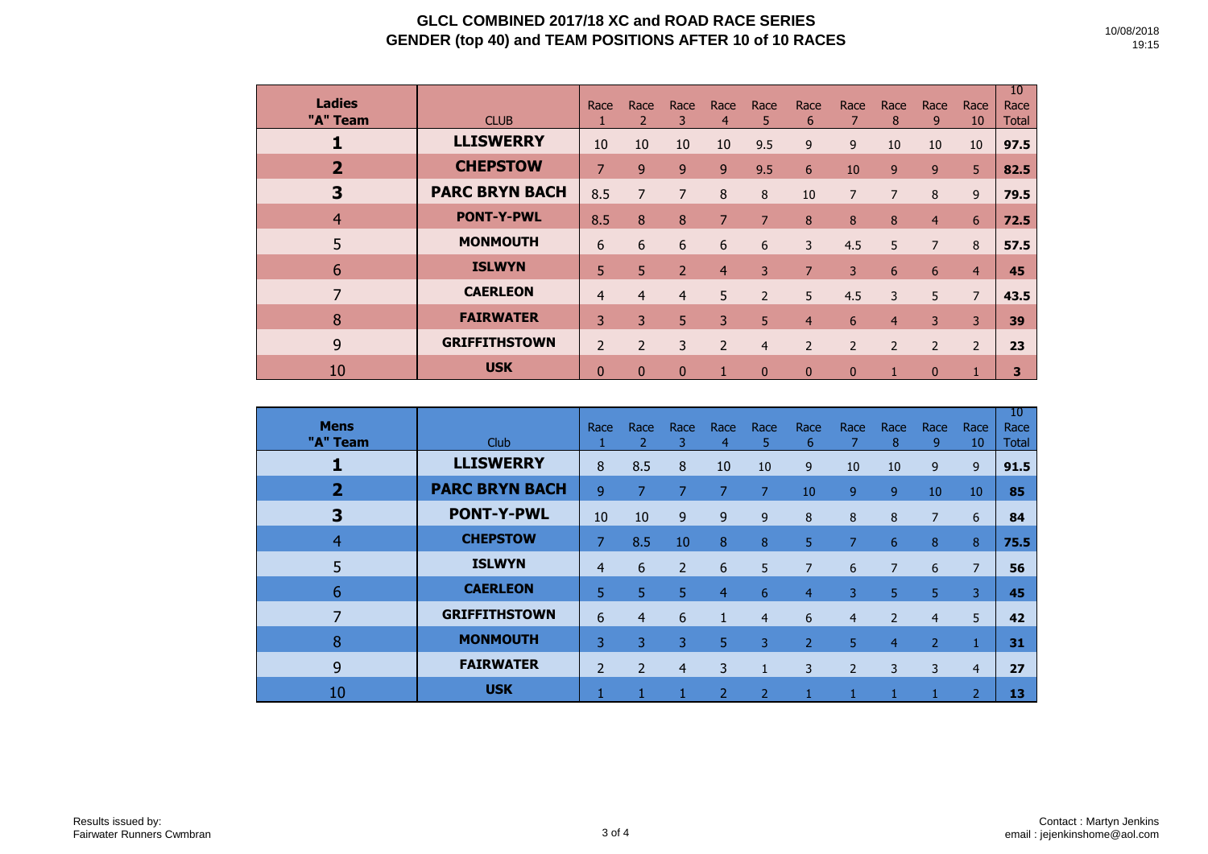| <b>Ladies</b><br>"A" Team | <b>CLUB</b>           | Race           | Race           | Race<br>3      | Race<br>4      | Race<br>5.     | Race<br>6      | Race           | Race<br>8      | Race<br>9      | Race<br>10     | 10<br>Race<br><b>Total</b> |
|---------------------------|-----------------------|----------------|----------------|----------------|----------------|----------------|----------------|----------------|----------------|----------------|----------------|----------------------------|
|                           | <b>LLISWERRY</b>      | 10             | 10             | 10             | 10             | 9.5            | 9              | 9              | 10             | 10             | 10             | 97.5                       |
| $\overline{\mathbf{2}}$   | <b>CHEPSTOW</b>       | 7              | 9              | 9              | 9              | 9.5            | 6              | 10             | $\overline{9}$ | 9              | 5 <sup>1</sup> | 82.5                       |
| 3                         | <b>PARC BRYN BACH</b> | 8.5            | 7              | 7              | 8              | 8              | 10             | $\overline{7}$ | 7              | 8              | 9              | 79.5                       |
| $\overline{4}$            | <b>PONT-Y-PWL</b>     | 8.5            | 8              | 8              | $\overline{7}$ | $\overline{7}$ | 8              | 8              | 8              | 4              | 6              | 72.5                       |
| 5                         | <b>MONMOUTH</b>       | 6              | 6              | 6              | 6              | 6              | 3              | 4.5            | 5              | $\overline{7}$ | 8              | 57.5                       |
| 6                         | <b>ISLWYN</b>         | 5.             | 5              | $\overline{2}$ | $\overline{4}$ | 3              | 7              | 3              | 6              | 6              | $\overline{4}$ | 45                         |
| $\overline{7}$            | <b>CAERLEON</b>       | 4              | $\overline{4}$ | 4              | 5              | $\overline{2}$ | 5              | 4.5            | 3              | 5              | $\overline{7}$ | 43.5                       |
| 8                         | <b>FAIRWATER</b>      | 3              | 3              | 5              | 3              | 5              | 4              | 6              | 4              | 3              | 3              | 39                         |
| 9                         | <b>GRIFFITHSTOWN</b>  | $\overline{2}$ | $\overline{2}$ | 3              | $\overline{2}$ | $\overline{4}$ | $\overline{2}$ | $\overline{2}$ | $\overline{2}$ | $\overline{2}$ | $\overline{2}$ | 23                         |
| 10                        | <b>USK</b>            | 0              | $\Omega$       | $\mathbf{0}$   | 1              | $\mathbf{0}$   | $\Omega$       | $\Omega$       |                | $\mathbf{0}$   |                | 3                          |

| <b>Mens</b><br>"A" Team | Club                  | Race           | Race           | Race<br>3      | Race<br>$\overline{4}$ | Race<br>5      | Race<br>6      | Race           | Race<br>8      | Race<br>9      | Race<br>10     | 10<br>Race<br>Total |
|-------------------------|-----------------------|----------------|----------------|----------------|------------------------|----------------|----------------|----------------|----------------|----------------|----------------|---------------------|
|                         | <b>LLISWERRY</b>      | 8              | 8.5            | 8              | 10                     | 10             | 9              | 10             | 10             | 9              | 9              | 91.5                |
| $\overline{2}$          | <b>PARC BRYN BACH</b> | 9              | 7              | 7              | 7                      | 7              | 10             | 9              | 9              | 10             | 10             | 85                  |
| $\overline{\mathbf{3}}$ | <b>PONT-Y-PWL</b>     | 10             | 10             | 9              | 9                      | 9              | 8              | 8              | 8              | 7              | 6              | 84                  |
| 4                       | <b>CHEPSTOW</b>       | 7              | 8.5            | 10             | 8                      | 8              | 5.             | 7              | 6              | 8              | 8              | 75.5                |
| 5                       | <b>ISLWYN</b>         | 4              | 6              | $\overline{2}$ | 6                      | 5              | $\overline{7}$ | 6              | $\overline{7}$ | 6              | $\overline{7}$ | 56                  |
| 6                       | <b>CAERLEON</b>       | 5.             | 5 <sup>1</sup> | 5              | $\overline{4}$         | 6              | $\overline{4}$ | 3              | 5              | 5              | 3              | 45                  |
| 7                       | <b>GRIFFITHSTOWN</b>  | 6              | 4              | 6              | 1                      | $\overline{4}$ | 6              | $\overline{4}$ | $\overline{2}$ | $\overline{4}$ | 5              | 42                  |
| 8                       | <b>MONMOUTH</b>       | 3              | 3              | 3              | 5                      | 3              | $\overline{2}$ | 5.             | 4              | 2              |                | 31                  |
| 9                       | <b>FAIRWATER</b>      | $\overline{2}$ | $\overline{2}$ | $\overline{4}$ | 3                      | $\mathbf{1}$   | 3              | $\overline{2}$ | 3              | 3              | $\overline{4}$ | 27                  |
| 10                      | <b>USK</b>            |                |                |                | $\overline{2}$         | $\overline{2}$ |                |                |                |                | $\overline{2}$ | 13                  |

19:15